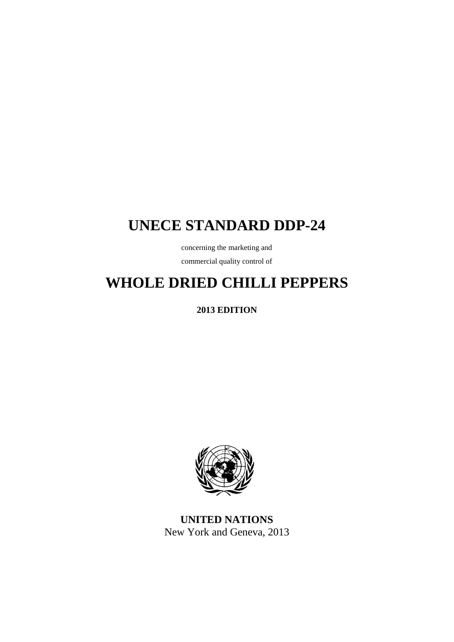# **UNECE STANDARD DDP-24**

concerning the marketing and

commercial quality control of

# **WHOLE DRIED CHILLI PEPPERS**

**2013 EDITION**



**UNITED NATIONS** New York and Geneva, 2013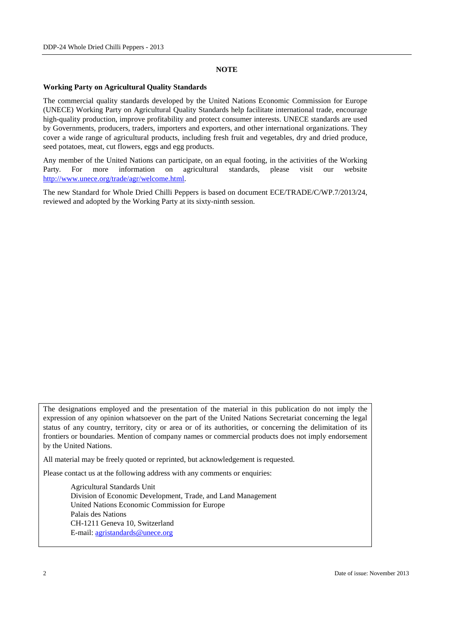#### **NOTE**

#### **Working Party on Agricultural Quality Standards**

The commercial quality standards developed by the United Nations Economic Commission for Europe (UNECE) Working Party on Agricultural Quality Standards help facilitate international trade, encourage high-quality production, improve profitability and protect consumer interests. UNECE standards are used by Governments, producers, traders, importers and exporters, and other international organizations. They cover a wide range of agricultural products, including fresh fruit and vegetables, dry and dried produce, seed potatoes, meat, cut flowers, eggs and egg products.

Any member of the United Nations can participate, on an equal footing, in the activities of the Working Party. For more information on agricultural standards, please visit our website [http://www.unece.org/trade/agr/welcome.html.](http://www.unece.org/trade/agr/welcome.html)

The new Standard for Whole Dried Chilli Peppers is based on document ECE/TRADE/C/WP.7/2013/24, reviewed and adopted by the Working Party at its sixty-ninth session.

The designations employed and the presentation of the material in this publication do not imply the expression of any opinion whatsoever on the part of the United Nations Secretariat concerning the legal status of any country, territory, city or area or of its authorities, or concerning the delimitation of its frontiers or boundaries. Mention of company names or commercial products does not imply endorsement by the United Nations.

All material may be freely quoted or reprinted, but acknowledgement is requested.

Please contact us at the following address with any comments or enquiries:

Agricultural Standards Unit Division of Economic Development, Trade, and Land Management United Nations Economic Commission for Europe Palais des Nations CH-1211 Geneva 10, Switzerland E-mail: [agristandards@unece.org](mailto:agristandards@unece.org)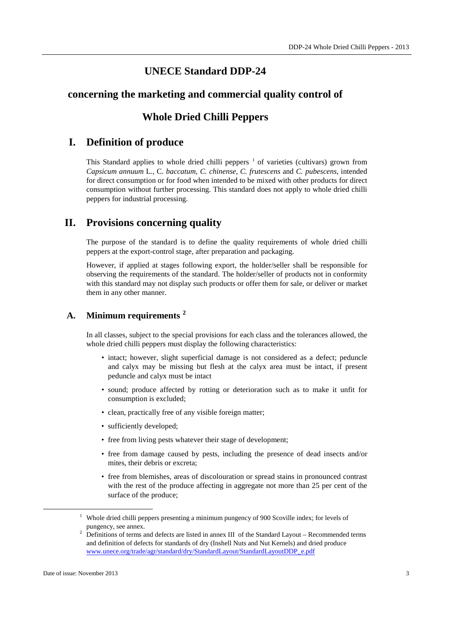### **UNECE Standard DDP-24**

### **concerning the marketing and commercial quality control of**

### **Whole Dried Chilli Peppers**

### **I. Definition of produce**

This Standard applies to whole dried chilli peppers  $<sup>1</sup>$  $<sup>1</sup>$  $<sup>1</sup>$  of varieties (cultivars) grown from</sup> *Capsicum annuum* L., C. *baccatum, C. chinense, C. frutescens* and *C. pubescens*, intended for direct consumption or for food when intended to be mixed with other products for direct consumption without further processing. This standard does not apply to whole dried chilli peppers for industrial processing.

### **II. Provisions concerning quality**

The purpose of the standard is to define the quality requirements of whole dried chilli peppers at the export-control stage, after preparation and packaging.

However, if applied at stages following export, the holder/seller shall be responsible for observing the requirements of the standard. The holder/seller of products not in conformity with this standard may not display such products or offer them for sale, or deliver or market them in any other manner.

### **A. Minimum requirements [2](#page-2-1)**

In all classes, subject to the special provisions for each class and the tolerances allowed, the whole dried chilli peppers must display the following characteristics:

- intact; however, slight superficial damage is not considered as a defect; peduncle and calyx may be missing but flesh at the calyx area must be intact, if present peduncle and calyx must be intact
- sound; produce affected by rotting or deterioration such as to make it unfit for consumption is excluded;
- clean, practically free of any visible foreign matter;
- sufficiently developed;
- free from living pests whatever their stage of development;
- free from damage caused by pests, including the presence of dead insects and/or mites, their debris or excreta;
- free from blemishes, areas of discolouration or spread stains in pronounced contrast with the rest of the produce affecting in aggregate not more than 25 per cent of the surface of the produce;

<span id="page-2-0"></span><sup>&</sup>lt;sup>1</sup> Whole dried chilli peppers presenting a minimum pungency of 900 Scoville index; for levels of pungency, see annex.

<span id="page-2-1"></span><sup>&</sup>lt;sup>2</sup> Definitions of terms and defects are listed in annex III of the Standard Layout – Recommended terms and definition of defects for standards of dry (Inshell Nuts and Nut Kernels) and dried produce [www.unece.org/trade/agr/standard/dry/StandardLayout/StandardLayoutDDP\\_e.pdf](http://www.unece.org/trade/agr/standard/dry/StandardLayout/StandardLayoutDDP_e.pdf)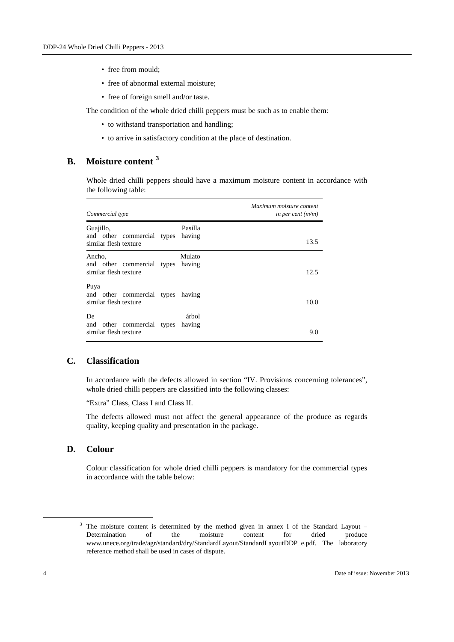- free from mould;
- free of abnormal external moisture;
- free of foreign smell and/or taste.

The condition of the whole dried chilli peppers must be such as to enable them:

- to withstand transportation and handling;
- to arrive in satisfactory condition at the place of destination.

### **B. Moisture content [3](#page-3-0)**

Whole dried chilli peppers should have a maximum moisture content in accordance with the following table:

| Commercial type                                                  |                   | Maximum moisture content<br>in per cent $(m/m)$ |
|------------------------------------------------------------------|-------------------|-------------------------------------------------|
| Guajillo,<br>and other commercial types<br>similar flesh texture | Pasilla<br>having | 13.5                                            |
| Ancho,<br>and other commercial types<br>similar flesh texture    | Mulato<br>having  | 12.5                                            |
| Puya<br>and other commercial types<br>similar flesh texture      | having            | 10.0                                            |
| De<br>and other commercial types<br>similar flesh texture        | árbol<br>having   | 9.0                                             |

### **C. Classification**

In accordance with the defects allowed in section "IV. Provisions concerning tolerances", whole dried chilli peppers are classified into the following classes:

"Extra" Class, Class I and Class II.

The defects allowed must not affect the general appearance of the produce as regards quality, keeping quality and presentation in the package.

### **D. Colour**

Colour classification for whole dried chilli peppers is mandatory for the commercial types in accordance with the table below:

<span id="page-3-0"></span><sup>&</sup>lt;sup>3</sup> The moisture content is determined by the method given in annex I of the Standard Layout – Determination of the moisture content for dried produce www.unece.org/trade/agr/standard/dry/StandardLayout/StandardLayoutDDP\_e.pdf. The laboratory reference method shall be used in cases of dispute.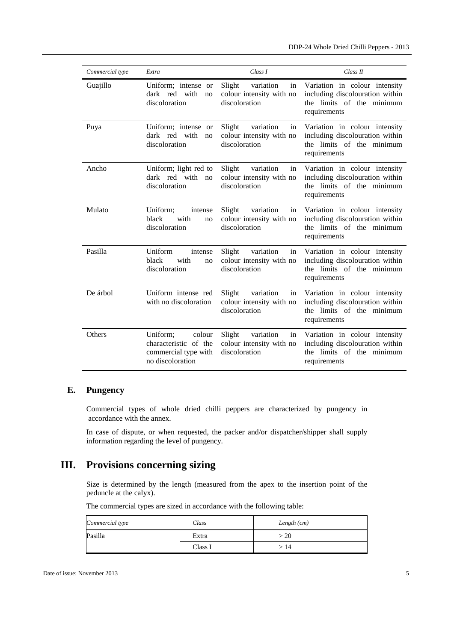| Commercial type | Extra                                                                                   | Class I                                                                | Class II                                                                                                         |
|-----------------|-----------------------------------------------------------------------------------------|------------------------------------------------------------------------|------------------------------------------------------------------------------------------------------------------|
| Guajillo        | Uniform; intense or<br>dark red with<br>no<br>discoloration                             | variation<br>Slight<br>in<br>colour intensity with no<br>discoloration | Variation in colour intensity<br>including discolouration within<br>the limits of the minimum<br>requirements    |
| Puya            | Uniform; intense or<br>dark red with<br>no<br>discoloration                             | variation<br>Slight<br>in<br>colour intensity with no<br>discoloration | Variation in colour intensity<br>including discolouration within<br>the limits of the minimum<br>requirements    |
| Ancho           | Uniform; light red to<br>dark red with<br>no<br>discoloration                           | variation<br>Slight<br>in<br>colour intensity with no<br>discoloration | Variation in colour intensity<br>including discolouration within<br>the limits of the minimum<br>requirements    |
| Mulato          | Uniform;<br>intense<br>with<br>black<br>no<br>discoloration                             | Slight<br>variation<br>in<br>colour intensity with no<br>discoloration | Variation in colour intensity<br>including discolouration within<br>the limits of the minimum<br>requirements    |
| Pasilla         | Uniform<br>intense<br>black<br>with<br>no<br>discoloration                              | variation<br>Slight<br>in<br>colour intensity with no<br>discoloration | Variation in colour intensity<br>including discolouration within<br>the limits of the<br>minimum<br>requirements |
| De árbol        | Uniform intense red<br>with no discoloration                                            | variation<br>Slight<br>in<br>colour intensity with no<br>discoloration | Variation in colour intensity<br>including discolouration within<br>the limits of the minimum<br>requirements    |
| Others          | Uniform;<br>colour<br>characteristic of the<br>commercial type with<br>no discoloration | variation<br>Slight<br>in<br>colour intensity with no<br>discoloration | Variation in colour intensity<br>including discolouration within<br>the limits of the minimum<br>requirements    |

### **E. Pungency**

Commercial types of whole dried chilli peppers are characterized by pungency in accordance with the annex.

In case of dispute, or when requested, the packer and/or dispatcher/shipper shall supply information regarding the level of pungency.

### **III. Provisions concerning sizing**

Size is determined by the length (measured from the apex to the insertion point of the peduncle at the calyx).

| Commercial type | Class   | Length $(cm)$ |
|-----------------|---------|---------------|
| Pasilla         | Extra   | >20           |
|                 | Class I | > 14          |

The commercial types are sized in accordance with the following table: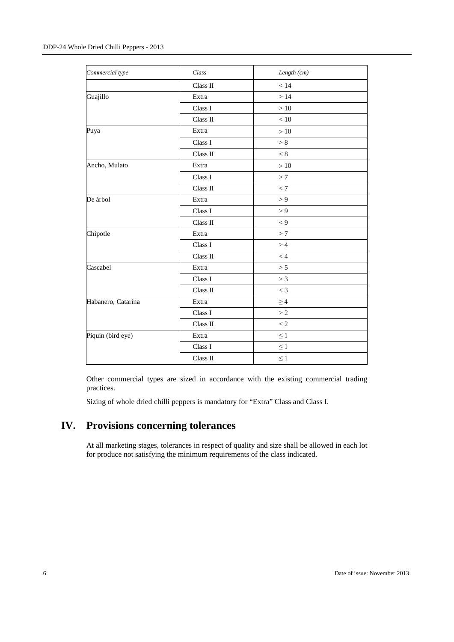| Commercial type    | Class    | Length (cm) |
|--------------------|----------|-------------|
|                    | Class II | < 14        |
| Guajillo           | Extra    | >14         |
|                    | Class I  | $>10\,$     |
|                    | Class II | < 10        |
| Puya               | Extra    | $>10$       |
|                    | Class I  | > 8         |
|                    | Class II | < 8         |
| Ancho, Mulato      | Extra    | $>10$       |
|                    | Class I  | >7          |
|                    | Class II | < 7         |
| De árbol           | Extra    | > 9         |
|                    | Class I  | > 9         |
|                    | Class II | $\lt 9$     |
| Chipotle           | Extra    | >7          |
|                    | Class I  | >4          |
|                    | Class II | < 4         |
| Cascabel           | Extra    | > 5         |
|                    | Class I  | > 3         |
|                    | Class II | $<$ 3       |
| Habanero, Catarina | Extra    | $\geq 4$    |
|                    | Class I  | >2          |
|                    | Class II | < 2         |
| Piquin (bird eye)  | Extra    | $\leq 1$    |
|                    | Class I  | $\leq 1$    |
|                    | Class II | $\leq 1$    |

Other commercial types are sized in accordance with the existing commercial trading practices.

Sizing of whole dried chilli peppers is mandatory for "Extra" Class and Class I.

# **IV. Provisions concerning tolerances**

At all marketing stages, tolerances in respect of quality and size shall be allowed in each lot for produce not satisfying the minimum requirements of the class indicated.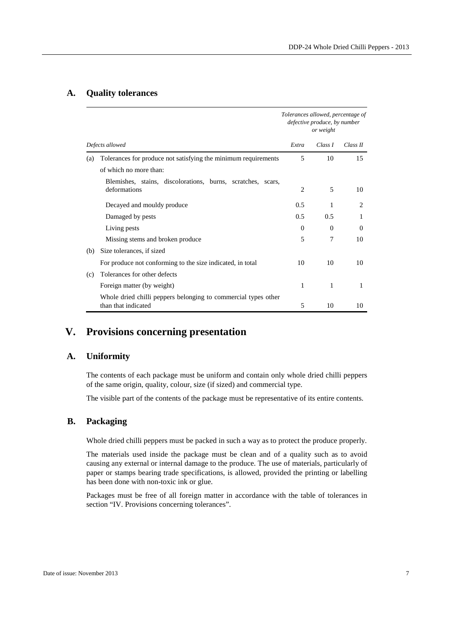#### **A. Quality tolerances**

|     |                                                                |                | Tolerances allowed, percentage of<br>defective produce, by number<br>or weight |          |  |
|-----|----------------------------------------------------------------|----------------|--------------------------------------------------------------------------------|----------|--|
|     | Defects allowed                                                | Extra          | Class I                                                                        | Class II |  |
| (a) | Tolerances for produce not satisfying the minimum requirements | 5              | 10                                                                             | 15       |  |
|     | of which no more than:                                         |                |                                                                                |          |  |
|     | Blemishes, stains, discolorations, burns, scratches, scars,    |                |                                                                                |          |  |
|     | deformations                                                   | $\overline{c}$ | 5                                                                              | 10       |  |
|     | Decayed and mouldy produce                                     | 0.5            | 1                                                                              | 2        |  |
|     | Damaged by pests                                               | 0.5            | 0.5                                                                            | 1        |  |
|     | Living pests                                                   | $\Omega$       | $\Omega$                                                                       | $\Omega$ |  |
|     | Missing stems and broken produce                               | 5              | 7                                                                              | 10       |  |
| (b) | Size tolerances, if sized                                      |                |                                                                                |          |  |
|     | For produce not conforming to the size indicated, in total     | 10             | 10                                                                             | 10       |  |
| (c) | Tolerances for other defects                                   |                |                                                                                |          |  |
|     | Foreign matter (by weight)                                     | 1              | 1                                                                              | 1        |  |
|     | Whole dried chilli peppers belonging to commercial types other |                |                                                                                |          |  |
|     | than that indicated                                            | 5              | 10                                                                             | 10       |  |

# **V. Provisions concerning presentation**

### **A. Uniformity**

The contents of each package must be uniform and contain only whole dried chilli peppers of the same origin, quality, colour, size (if sized) and commercial type.

The visible part of the contents of the package must be representative of its entire contents.

#### **B. Packaging**

Whole dried chilli peppers must be packed in such a way as to protect the produce properly.

The materials used inside the package must be clean and of a quality such as to avoid causing any external or internal damage to the produce. The use of materials, particularly of paper or stamps bearing trade specifications, is allowed, provided the printing or labelling has been done with non-toxic ink or glue.

Packages must be free of all foreign matter in accordance with the table of tolerances in section "IV. Provisions concerning tolerances".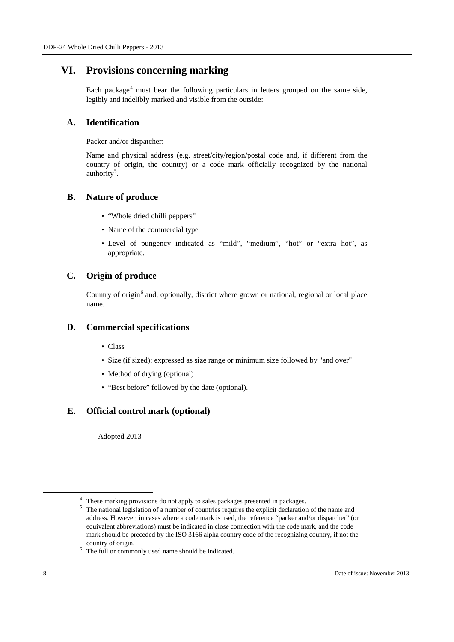### **VI. Provisions concerning marking**

Each package<sup>[4](#page-7-0)</sup> must bear the following particulars in letters grouped on the same side, legibly and indelibly marked and visible from the outside:

### **A. Identification**

Packer and/or dispatcher:

Name and physical address (e.g. street/city/region/postal code and, if different from the country of origin, the country) or a code mark officially recognized by the national authority<sup>[5](#page-7-1)</sup>.

### **B. Nature of produce**

- "Whole dried chilli peppers"
- Name of the commercial type
- Level of pungency indicated as "mild", "medium", "hot" or "extra hot", as appropriate.

### **C. Origin of produce**

Country of origin<sup>[6](#page-7-2)</sup> and, optionally, district where grown or national, regional or local place name.

### **D. Commercial specifications**

- Class
- Size (if sized): expressed as size range or minimum size followed by "and over"
- Method of drying (optional)
- "Best before" followed by the date (optional).

### **E. Official control mark (optional)**

Adopted 2013

<span id="page-7-0"></span><sup>&</sup>lt;sup>4</sup> These marking provisions do not apply to sales packages presented in packages.<br> $\frac{5}{2}$  The national logiclation of a number of countries requires the symbolic decleration

<span id="page-7-1"></span><sup>5</sup> The national legislation of a number of countries requires the explicit declaration of the name and address. However, in cases where a code mark is used, the reference "packer and/or dispatcher" (or equivalent abbreviations) must be indicated in close connection with the code mark, and the code mark should be preceded by the ISO 3166 alpha country code of the recognizing country, if not the

<span id="page-7-2"></span><sup>&</sup>lt;sup>6</sup> The full or commonly used name should be indicated.